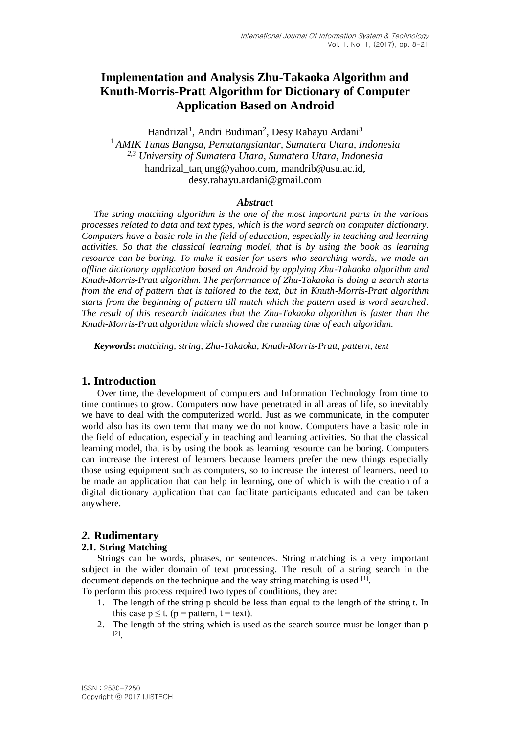# **Implementation and Analysis Zhu-Takaoka Algorithm and Knuth-Morris-Pratt Algorithm for Dictionary of Computer Application Based on Android**

Handrizal<sup>1</sup>, Andri Budiman<sup>2</sup>, Desy Rahayu Ardani<sup>3</sup> <sup>1</sup> *AMIK Tunas Bangsa, Pematangsiantar, Sumatera Utara, Indonesia 2,3 University of Sumatera Utara, Sumatera Utara, Indonesia* handrizal tanjung@yahoo.com, mandrib@usu.ac.id, desy.rahayu.ardani@gmail.com

# *Abstract*

*The string matching algorithm is the one of the most important parts in the various processes related to data and text types, which is the word search on computer dictionary. Computers have a basic role in the field of education, especially in teaching and learning activities. So that the classical learning model, that is by using the book as learning resource can be boring. To make it easier for users who searching words, we made an offline dictionary application based on Android by applying Zhu-Takaoka algorithm and Knuth-Morris-Pratt algorithm. The performance of Zhu-Takaoka is doing a search starts from the end of pattern that is tailored to the text, but in Knuth-Morris-Pratt algorithm starts from the beginning of pattern till match which the pattern used is word searched. The result of this research indicates that the Zhu-Takaoka algorithm is faster than the Knuth-Morris-Pratt algorithm which showed the running time of each algorithm.*

*Keywords***:** *matching, string, Zhu-Takaoka, Knuth-Morris-Pratt, pattern, text*

# **1. Introduction**

Over time, the development of computers and Information Technology from time to time continues to grow. Computers now have penetrated in all areas of life, so inevitably we have to deal with the computerized world. Just as we communicate, in the computer world also has its own term that many we do not know. Computers have a basic role in the field of education, especially in teaching and learning activities. So that the classical learning model, that is by using the book as learning resource can be boring. Computers can increase the interest of learners because learners prefer the new things especially those using equipment such as computers, so to increase the interest of learners, need to be made an application that can help in learning, one of which is with the creation of a digital dictionary application that can facilitate participants educated and can be taken anywhere.

# *2.* **Rudimentary**

# **2.1. String Matching**

Strings can be words, phrases, or sentences. String matching is a very important subject in the wider domain of text processing. The result of a string search in the document depends on the technique and the way string matching is used [1].

To perform this process required two types of conditions, they are:

- 1. The length of the string p should be less than equal to the length of the string t. In this case  $p \le t$ . ( $p =$  pattern,  $t =$  text).
- 2. The length of the string which is used as the search source must be longer than p [2] .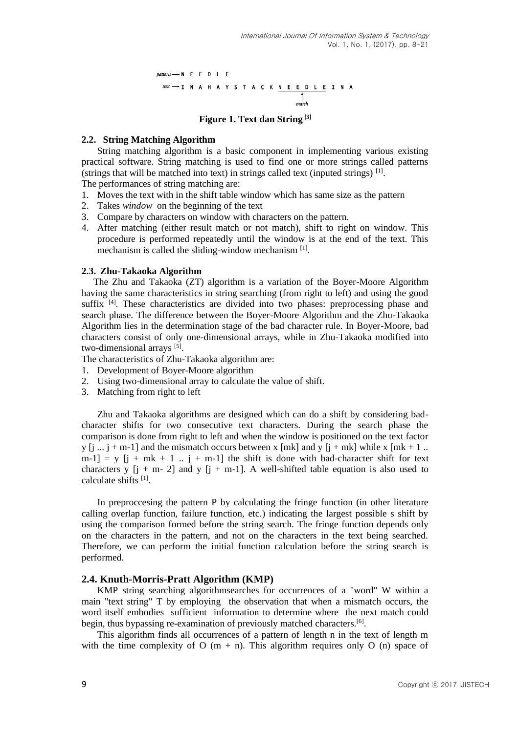$pattern \longrightarrow N$  E E D L E  $text$   $\rightarrow$   $1$  N A H A Y S T A C K <u>N E E D L E</u> I N A

**Figure 1. Text dan String [3]**

#### **2.2. String Matching Algorithm**

String matching algorithm is a basic component in implementing various existing practical software. String matching is used to find one or more strings called patterns (strings that will be matched into text) in strings called text (inputed strings) [1] .

The performances of string matching are:

- 1. Moves the text with in the shift table window which has same size as the pattern
- 2. Takes *window* on the beginning of the text
- 3. Compare by characters on window with characters on the pattern.
- 4. After matching (either result match or not match), shift to right on window. This procedure is performed repeatedly until the window is at the end of the text. This mechanism is called the sliding-window mechanism <sup>[1]</sup>.

#### **2.3. Zhu-Takaoka Algorithm**

The Zhu and Takaoka (ZT) algorithm is a variation of the Boyer-Moore Algorithm having the same characteristics in string searching (from right to left) and using the good suffix <sup>[4]</sup>. These characteristics are divided into two phases: preprocessing phase and search phase. The difference between the Boyer-Moore Algorithm and the Zhu-Takaoka Algorithm lies in the determination stage of the bad character rule. In Boyer-Moore, bad characters consist of only one-dimensional arrays, while in Zhu-Takaoka modified into two-dimensional arrays<sup>[5]</sup>.

The characteristics of Zhu-Takaoka algorithm are:

- 1. Development of Boyer-Moore algorithm
- 2. Using two-dimensional array to calculate the value of shift.
- 3. Matching from right to left

Zhu and Takaoka algorithms are designed which can do a shift by considering badcharacter shifts for two consecutive text characters. During the search phase the comparison is done from right to left and when the window is positioned on the text factor y  $[i \dots j + m-1]$  and the mismatch occurs between x [mk] and y  $[i + mk]$  while x [mk + 1 ..  $[m-1] = y [j + mk + 1.. j + m-1]$  the shift is done with bad-character shift for text characters y  $[i + m - 2]$  and y  $[i + m - 1]$ . A well-shifted table equation is also used to calculate shifts [1] .

In preproccesing the pattern P by calculating the fringe function (in other literature calling overlap function, failure function, etc.) indicating the largest possible s shift by using the comparison formed before the string search. The fringe function depends only on the characters in the pattern, and not on the characters in the text being searched. Therefore, we can perform the initial function calculation before the string search is performed.

#### **2.4. Knuth-Morris-Pratt Algorithm (KMP)**

KMP string searching algorithmsearches for occurrences of a "word" W within a main "text string" T by employing the observation that when a mismatch occurs, the word itself embodies sufficient information to determine where the next match could begin, thus bypassing re-examination of previously matched characters.<sup>[6]</sup>.

This algorithm finds all occurrences of a pattern of length n in the text of length m with the time complexity of O  $(m + n)$ . This algorithm requires only O  $(n)$  space of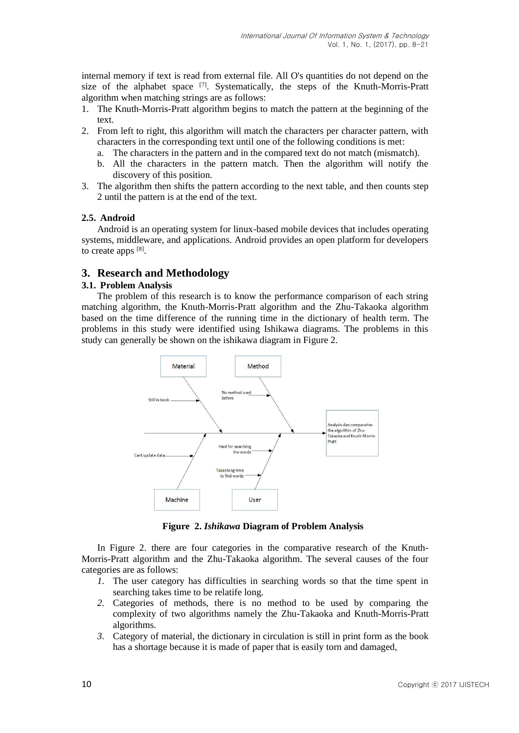internal memory if text is read from external file. All O's quantities do not depend on the size of the alphabet space [7]. Systematically, the steps of the Knuth-Morris-Pratt algorithm when matching strings are as follows:

- 1. The Knuth-Morris-Pratt algorithm begins to match the pattern at the beginning of the text.
- 2. From left to right, this algorithm will match the characters per character pattern, with characters in the corresponding text until one of the following conditions is met:
	- a. The characters in the pattern and in the compared text do not match (mismatch).
	- b. All the characters in the pattern match. Then the algorithm will notify the discovery of this position.
- 3. The algorithm then shifts the pattern according to the next table, and then counts step 2 until the pattern is at the end of the text.

# **2.5. Android**

Android is an operating system for linux-based mobile devices that includes operating systems, middleware, and applications. Android provides an open platform for developers to create apps  $[8]$ .

# **3. Research and Methodology**

# **3.1. Problem Analysis**

The problem of this research is to know the performance comparison of each string matching algorithm, the Knuth-Morris-Pratt algorithm and the Zhu-Takaoka algorithm based on the time difference of the running time in the dictionary of health term. The problems in this study were identified using Ishikawa diagrams. The problems in this study can generally be shown on the ishikawa diagram in Figure 2.



**Figure 2.** *Ishikawa* **Diagram of Problem Analysis** 

In Figure 2. there are four categories in the comparative research of the Knuth-Morris-Pratt algorithm and the Zhu-Takaoka algorithm. The several causes of the four categories are as follows:

- *1.* The user category has difficulties in searching words so that the time spent in searching takes time to be relatife long.
- *2.* Categories of methods, there is no method to be used by comparing the complexity of two algorithms namely the Zhu-Takaoka and Knuth-Morris-Pratt algorithms.
- *3.* Category of material, the dictionary in circulation is still in print form as the book has a shortage because it is made of paper that is easily torn and damaged,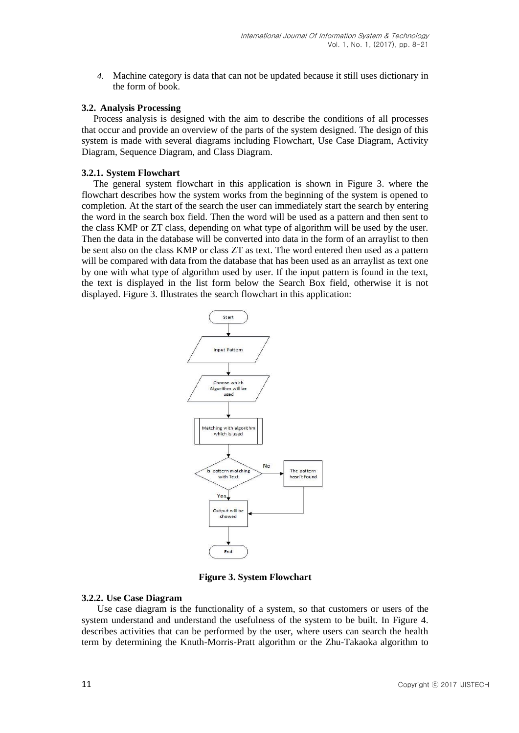*4.* Machine category is data that can not be updated because it still uses dictionary in the form of book.

#### **3.2. Analysis Processing**

Process analysis is designed with the aim to describe the conditions of all processes that occur and provide an overview of the parts of the system designed. The design of this system is made with several diagrams including Flowchart, Use Case Diagram, Activity Diagram, Sequence Diagram, and Class Diagram.

#### **3.2.1. System Flowchart**

The general system flowchart in this application is shown in Figure 3. where the flowchart describes how the system works from the beginning of the system is opened to completion. At the start of the search the user can immediately start the search by entering the word in the search box field. Then the word will be used as a pattern and then sent to the class KMP or ZT class, depending on what type of algorithm will be used by the user. Then the data in the database will be converted into data in the form of an arraylist to then be sent also on the class KMP or class ZT as text. The word entered then used as a pattern will be compared with data from the database that has been used as an arraylist as text one by one with what type of algorithm used by user. If the input pattern is found in the text, the text is displayed in the list form below the Search Box field, otherwise it is not displayed. Figure 3. Illustrates the search flowchart in this application:



**Figure 3. System Flowchart**

#### **3.2.2. Use Case Diagram**

Use case diagram is the functionality of a system, so that customers or users of the system understand and understand the usefulness of the system to be built. In Figure 4. describes activities that can be performed by the user, where users can search the health term by determining the Knuth-Morris-Pratt algorithm or the Zhu-Takaoka algorithm to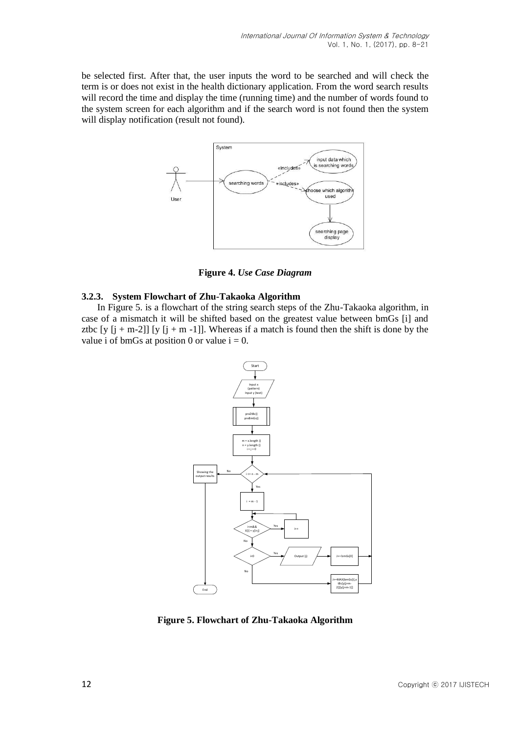be selected first. After that, the user inputs the word to be searched and will check the term is or does not exist in the health dictionary application. From the word search results will record the time and display the time (running time) and the number of words found to the system screen for each algorithm and if the search word is not found then the system will display notification (result not found).



**Figure 4.** *Use Case Diagram*

# **3.2.3. System Flowchart of Zhu-Takaoka Algorithm**

In Figure 5. is a flowchart of the string search steps of the Zhu-Takaoka algorithm, in case of a mismatch it will be shifted based on the greatest value between bmGs [i] and ztbc  $[y [i + m-2]] [y [i + m -1]]$ . Whereas if a match is found then the shift is done by the value i of bmGs at position 0 or value  $i = 0$ .



**Figure 5. Flowchart of Zhu-Takaoka Algorithm**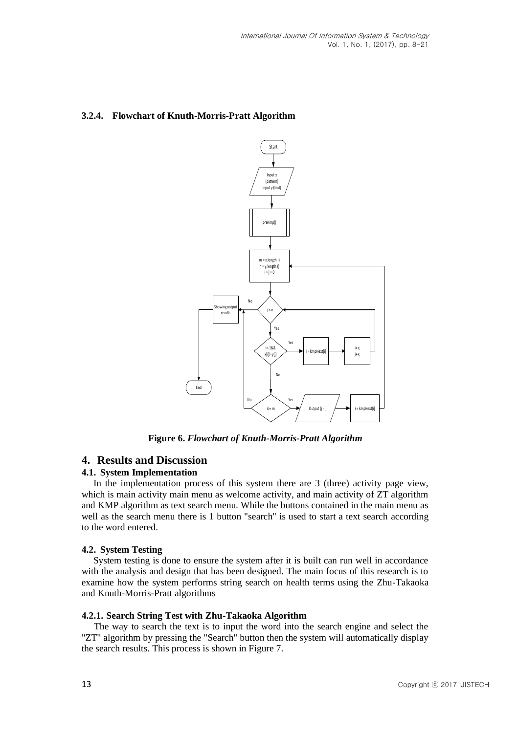# **3.2.4. Flowchart of Knuth-Morris-Pratt Algorithm**



**Figure 6.** *Flowchart of Knuth-Morris-Pratt Algorithm*

# **4. Results and Discussion**

# **4.1. System Implementation**

In the implementation process of this system there are 3 (three) activity page view, which is main activity main menu as welcome activity, and main activity of  $ZT$  algorithm and KMP algorithm as text search menu. While the buttons contained in the main menu as well as the search menu there is 1 button "search" is used to start a text search according to the word entered.

# **4.2. System Testing**

System testing is done to ensure the system after it is built can run well in accordance with the analysis and design that has been designed. The main focus of this research is to examine how the system performs string search on health terms using the Zhu-Takaoka and Knuth-Morris-Pratt algorithms

#### **4.2.1. Search String Test with Zhu-Takaoka Algorithm**

The way to search the text is to input the word into the search engine and select the "ZT" algorithm by pressing the "Search" button then the system will automatically display the search results. This process is shown in Figure 7.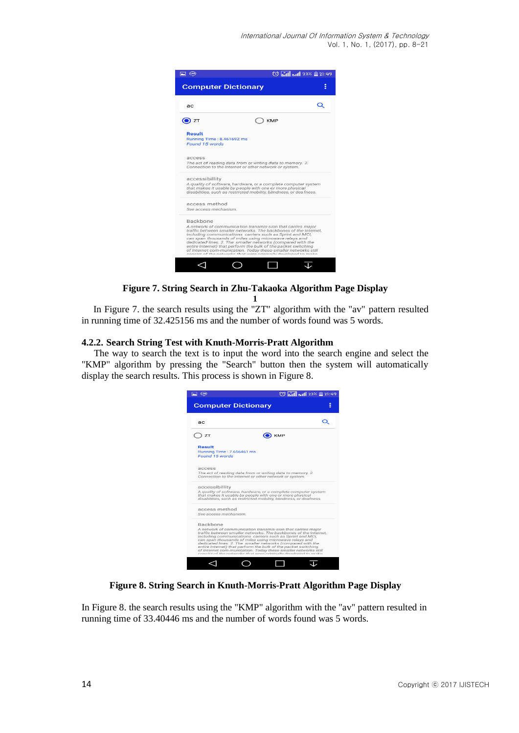

**Figure 7. String Search in Zhu-Takaoka Algorithm Page Display 1**

In Figure 7. the search results using the "ZT" algorithm with the "av" pattern resulted in running time of 32.425156 ms and the number of words found was 5 words.

# **4.2.2. Search String Test with Knuth-Morris-Pratt Algorithm**

The way to search the text is to input the word into the search engine and select the "KMP" algorithm by pressing the "Search" button then the system will automatically display the search results. This process is shown in Figure 8.

| [⊒ ⊕                                                                                                                                                                                                                                                                                                                                                                                                                                                                                                                                              | <b>◯ Mill Anil 23% 21:49</b> |
|---------------------------------------------------------------------------------------------------------------------------------------------------------------------------------------------------------------------------------------------------------------------------------------------------------------------------------------------------------------------------------------------------------------------------------------------------------------------------------------------------------------------------------------------------|------------------------------|
| <b>Computer Dictionary</b>                                                                                                                                                                                                                                                                                                                                                                                                                                                                                                                        |                              |
| ac:                                                                                                                                                                                                                                                                                                                                                                                                                                                                                                                                               |                              |
| ZT                                                                                                                                                                                                                                                                                                                                                                                                                                                                                                                                                | $\bullet$ KMP                |
| <b>Result</b><br>Running Time: 7.656461 ms<br>Found 15 words                                                                                                                                                                                                                                                                                                                                                                                                                                                                                      |                              |
| access<br>The act of reading data from or writing data to memory, 2.<br>Connection to the Internet or other network or system.                                                                                                                                                                                                                                                                                                                                                                                                                    |                              |
| accessibillity<br>A quality of software, hardware, or a complete computer system<br>that makes it usable by people with one or more physical<br>disabilities, such as restricted mobility, blindness, or deafness.                                                                                                                                                                                                                                                                                                                                |                              |
| access method<br>See access mechanism.                                                                                                                                                                                                                                                                                                                                                                                                                                                                                                            |                              |
| <b>Backbone</b><br>A network of communication transmis-sion that carries major<br>traffic between smaller networks. The backbones of the Internet.<br>including communications carriers such as Sprint and MCI.<br>can span thousands of miles using microwave relays and<br>dedicated lines. 2. The smaller networks (compared with the<br>entire Internet) that perform the bulk of the packet switching<br>of Internet com-munication. Today these smaller networks still<br>conclet of the naturales that were additionally developed to make |                              |
|                                                                                                                                                                                                                                                                                                                                                                                                                                                                                                                                                   |                              |

**Figure 8. String Search in Knuth-Morris-Pratt Algorithm Page Display**

In Figure 8. the search results using the "KMP" algorithm with the "av" pattern resulted in running time of 33.40446 ms and the number of words found was 5 words.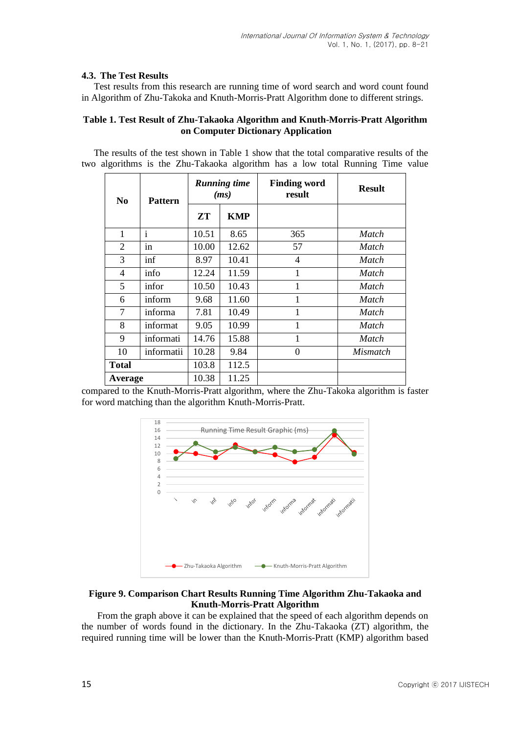# **4.3. The Test Results**

Test results from this research are running time of word search and word count found in Algorithm of Zhu-Takoka and Knuth-Morris-Pratt Algorithm done to different strings.

#### **Table 1. Test Result of Zhu-Takaoka Algorithm and Knuth-Morris-Pratt Algorithm on Computer Dictionary Application**

The results of the test shown in Table 1 show that the total comparative results of the two algorithms is the Zhu-Takaoka algorithm has a low total Running Time value

| N <sub>0</sub> | <b>Pattern</b>            | <b>Running time</b><br>(ms) |            | <b>Finding word</b><br>result | <b>Result</b>   |
|----------------|---------------------------|-----------------------------|------------|-------------------------------|-----------------|
|                |                           | ZT                          | <b>KMP</b> |                               |                 |
| $\mathbf{1}$   | $\bullet$<br>$\mathbf{1}$ | 10.51                       | 8.65       | 365                           | Match           |
| $\overline{2}$ | 1n                        | 10.00                       | 12.62      | 57                            | Match           |
| 3              | inf                       | 8.97                        | 10.41      | 4                             | Match           |
| 4              | info                      | 12.24                       | 11.59      | 1                             | Match           |
| 5              | infor                     | 10.50                       | 10.43      | $\mathbf{1}$                  | Match           |
| 6              | inform                    | 9.68                        | 11.60      |                               | Match           |
| 7              | informa                   | 7.81                        | 10.49      |                               | <b>Match</b>    |
| 8              | informat                  | 9.05                        | 10.99      | $\mathbf{1}$                  | Match           |
| 9              | informati                 | 14.76                       | 15.88      | 1                             | Match           |
| 10             | informatii                | 10.28                       | 9.84       | $\theta$                      | <i>Mismatch</i> |
| <b>Total</b>   |                           | 103.8                       | 112.5      |                               |                 |
| Average        |                           | 10.38                       | 11.25      |                               |                 |

compared to the Knuth-Morris-Pratt algorithm, where the Zhu-Takoka algorithm is faster for word matching than the algorithm Knuth-Morris-Pratt.



# **Figure 9. Comparison Chart Results Running Time Algorithm Zhu-Takaoka and Knuth-Morris-Pratt Algorithm**

From the graph above it can be explained that the speed of each algorithm depends on the number of words found in the dictionary. In the Zhu-Takaoka (ZT) algorithm, the required running time will be lower than the Knuth-Morris-Pratt (KMP) algorithm based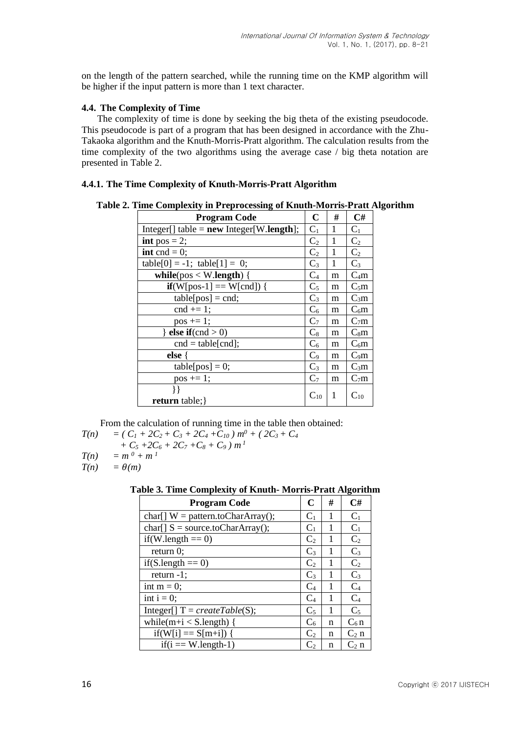on the length of the pattern searched, while the running time on the KMP algorithm will be higher if the input pattern is more than 1 text character.

# **4.4. The Complexity of Time**

The complexity of time is done by seeking the big theta of the existing pseudocode. This pseudocode is part of a program that has been designed in accordance with the Zhu-Takaoka algorithm and the Knuth-Morris-Pratt algorithm. The calculation results from the time complexity of the two algorithms using the average case / big theta notation are presented in Table 2.

# **4.4.1. The Time Complexity of Knuth-Morris-Pratt Algorithm**

**Table 2. Time Complexity in Preprocessing of Knuth-Morris-Pratt Algorithm**

| <b>Program Code</b>                        | $\mathbf C$    | # | C#               |
|--------------------------------------------|----------------|---|------------------|
| $Integer[] table = new Integer[W.length];$ | $C_1$          | 1 | $C_1$            |
| int pos = 2;                               | C <sub>2</sub> | 1 | C <sub>2</sub>   |
| <b>int</b> cnd = 0;                        | C <sub>2</sub> | 1 | C <sub>2</sub>   |
| $table[0] = -1$ ; $table[1] = 0$ ;         | $C_3$          | 1 | $C_3$            |
| while( $pos < W.length$ ) {                | C <sub>4</sub> | m | $C_4m$           |
| $if(W[pos-1] == W[end])$ {                 | $C_5$          | m | $C_5m$           |
| $table[pos] = end;$                        | $C_3$          | m | $C_3m$           |
| $\text{cnd} == 1$ ;                        | $C_6$          | m | $C_6m$           |
| $pos += 1;$                                | $C_7$          | m | C <sub>7</sub> m |
| else if $\text{(cnd} > 0)$                 | $C_8$          | m | $C_8m$           |
| $cnd = table[cmd];$                        | $C_6$          | m | $C_6m$           |
| else {                                     | C <sub>9</sub> | m | $C_9m$           |
| $table[pos] = 0;$                          | $C_3$          | m | $C_3m$           |
| $pos += 1;$                                | C <sub>7</sub> | m | $C_7m$           |
|                                            | $C_{10}$       | 1 | $C_{10}$         |
| <b>return</b> table; }                     |                |   |                  |

From the calculation of running time in the table then obtained:

$$
T(n) = (C_1 + 2C_2 + C_3 + 2C_4 + C_{10}) m^0 + (2C_3 + C_4)
$$

$$
+ C_5 + 2C_6 + 2C_7 + C_8 + C_9 \mid m^1
$$

$$
T(n) = m^0 + m^1
$$

 $T(n) = \theta(m)$ 

**Table 3. Time Complexity of Knuth- Morris-Pratt Algorithm**

| <b>Program Code</b>                 | $\mathbf C$                | # | C#             |
|-------------------------------------|----------------------------|---|----------------|
| $char[]$ W = pattern.toCharArray(); | $C_1$                      | 1 | $C_1$          |
| $char[] S = source.toCharArray();$  | $C_1$                      | 1 | $C_1$          |
| $if(W.length == 0)$                 | C <sub>2</sub>             |   | C <sub>2</sub> |
| return $0$ ;                        | $C_3$                      | 1 | $C_3$          |
| $if(S.length == 0)$                 | $\rm{C}_2$                 | 1 | C <sub>2</sub> |
| return $-1$ ;                       | $C_3$                      | 1 | $C_3$          |
| int $m = 0$ ;                       | $C_4$                      | 1 | $C_4$          |
| int $i = 0$ ;                       | $\rm C_4$                  | 1 | $C_4$          |
| Integer[] $T = createTable(S);$     | $C_5$                      | 1 | $C_5$          |
| while( $m+i < S$ .length) {         | $C_6$                      | n | $C_6n$         |
| $if(W[i] == S[m+i])$ {              | C <sub>2</sub>             | n | $C_2$ n        |
| $if(i == W.length-1)$               | $\mathbf{C}^{\mathcal{P}}$ | n | $C_2$ n        |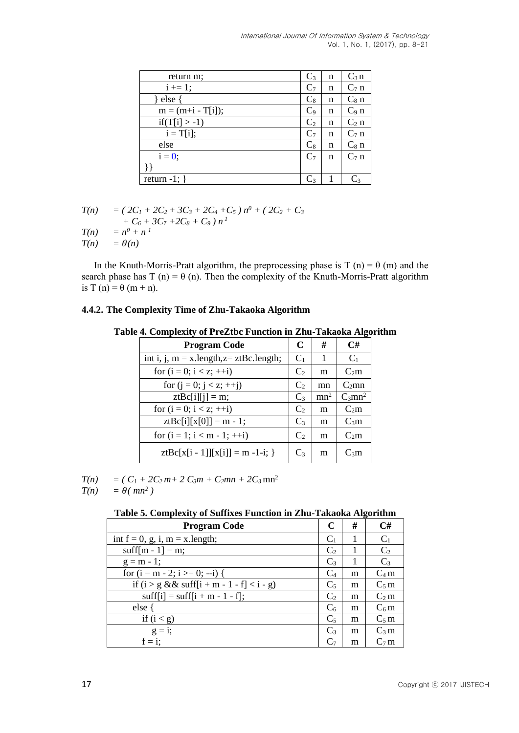| return m;            | $C_3$          | n | $C_3 n$ |
|----------------------|----------------|---|---------|
| $i \neq 1;$          | $C_7$          | n | $C_7$ n |
| else                 | $C_8$          | n | $C_8$ n |
| $m = (m+i - T[i])$ ; | $C_9$          | n | $C_9$ n |
| $if(T[i] > -1)$      | C <sub>2</sub> | n | $C_2$ n |
| $i = T[i];$          | $C_7$          | n | $C_7$ n |
| else                 | $\mathrm{C}_8$ | n | $C_8$ n |
| $i = 0$ ;            | C <sub>7</sub> | n | $C7$ n  |
|                      |                |   |         |
| return $-1$ ; }      | C3             |   |         |

$$
T(n) = (2C_1 + 2C_2 + 3C_3 + 2C_4 + C_5) n^{0} + (2C_2 + C_3 + C_6 + 3C_7 + 2C_8 + C_9) n^{1}
$$
  

$$
T(n) = n^{0} + n^{1}
$$

 $T(n) = \theta(n)$ 

In the Knuth-Morris-Pratt algorithm, the preprocessing phase is  $T(n) = \theta(m)$  and the search phase has T (n) =  $\theta$  (n). Then the complexity of the Knuth-Morris-Pratt algorithm is T (n) =  $\theta$  (m + n).

# **4.4.2. The Complexity Time of Zhu-Takaoka Algorithm**

#### **Table 4. Complexity of PreZtbc Function in Zhu-Takaoka Algorithm**

| <b>Program Code</b>                        | C              | #               | C#                    |
|--------------------------------------------|----------------|-----------------|-----------------------|
| int i, j, $m = x.length, z = ztBc.length;$ | $C_1$          | 1               | $C_1$                 |
| for $(i = 0; i < z; ++i)$                  | C <sub>2</sub> | m               | $C_2m$                |
| for $(i = 0; j < z; ++j)$                  | C <sub>2</sub> | mn              | $C_2$ mn              |
| $ztBc[i][j] = m;$                          | $C_3$          | mn <sup>2</sup> | $C_3$ mn <sup>2</sup> |
| for $(i = 0; i < z; ++i)$                  | $\mathbf{C}_2$ | m               | $C_2m$                |
| $ztBc[i][x[0]] = m - 1;$                   | $C_3$          | m               | $C_3m$                |
| for $(i = 1; i < m - 1; ++i)$              | C <sub>2</sub> | m               | $C_2m$                |
| $ztBc[x[i - 1]][x[i]] = m -1-i;$           | $C_3$          | m               | $C_3m$                |

 $T(n) = (C_1 + 2C_2 m + 2 C_3 m + C_2 m n + 2 C_3 m n^2)$ 

 $T(n) = \theta(mn^2)$ 

# **Table 5. Complexity of Suffixes Function in Zhu-Takaoka Algorithm**

| <b>Program Code</b>                                | C              | # | C#             |
|----------------------------------------------------|----------------|---|----------------|
| int $f = 0$ , g, i, m = x.length;                  | $C_1$          |   | $C_1$          |
| suff[m - 1] = m;                                   | C <sub>2</sub> |   | C <sub>2</sub> |
| $g = m - 1$ ;                                      | $C_3$          |   | $C_3$          |
| for $(i = m - 2; i >= 0; -i)$                      | C <sub>4</sub> | m | $C_4 m$        |
| if $(i > g \&& \text{suffix} + m - 1 - f < i - g)$ | $C_5$          | m | $C_5 m$        |
| $\text{suffix}[i] = \text{suffix}[i + m - 1 - f];$ | C <sub>2</sub> | m | $C_2 m$        |
| else {                                             | C <sub>6</sub> | m | $C_6$ m        |
| if $(i < g)$                                       | $C_5$          | m | $C_5 m$        |
| $g = 1$ ;                                          | $C_3$          | m | $C_3$ m        |
| $f = i$ ;                                          | $\rm{C}_7$     | m | $C_7 m$        |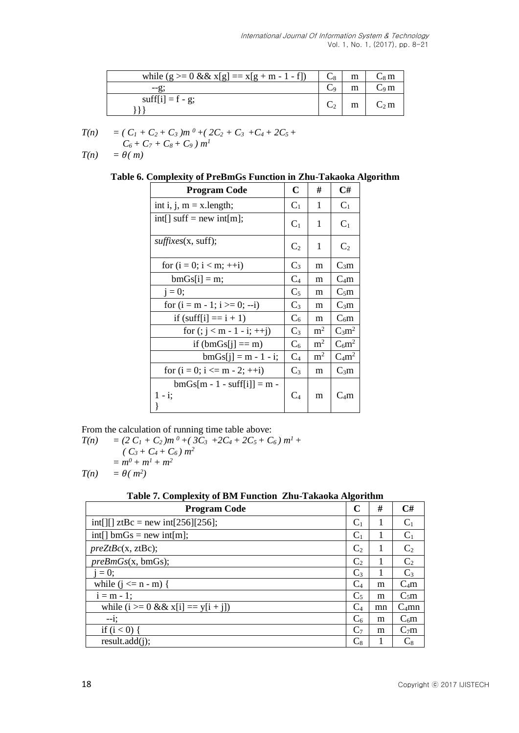| while $(g \ge 0 \&& x[g] = x[g + m - 1 - f])$ | m | $C_8$ m                    |
|-----------------------------------------------|---|----------------------------|
| $-2$                                          |   | $\mathsf{C}_9\,\mathsf{m}$ |
| suff[i] = $f - g$ ;                           | m | $C_2$ m                    |

$$
T(n) = (C_1 + C_2 + C_3)m^0 + (2C_2 + C_3 + C_4 + 2C_5 + C_6 + C_7 + C_8 + C_9)m^1
$$

 $T(n) = \theta(m)$ 

**Table 6. Complexity of PreBmGs Function in Zhu-Takaoka Algorithm**

| <b>Program Code</b>                       | C              | #              | C#             |
|-------------------------------------------|----------------|----------------|----------------|
| int i, j, $m = x.length$ ;                | $C_1$          | 1              | $C_1$          |
| $int[]$ suff = new int[m];                | C <sub>1</sub> | 1              | $C_1$          |
| <i>suffixes</i> (x, suff);                | C <sub>2</sub> | 1              | C <sub>2</sub> |
| for $(i = 0; i < m; ++i)$                 | $C_3$          | m              | $C_3m$         |
| $bmGs[i] = m;$                            | $C_4$          | m              | $C_4m$         |
| $j = 0;$                                  | $C_5$          | m              | $C_5m$         |
| for $(i = m - 1; i >= 0; -i)$             | $C_3$          | m              | $C_3m$         |
| if $(suff[i] == i + 1)$                   | $C_6$          | m              | $C_6m$         |
| for $(j < m - 1 - i; ++j)$                | $C_3$          | m <sup>2</sup> | $C_3m^2$       |
| if $(bmGs[j] == m)$                       | $C_6$          | m <sup>2</sup> | $C_6m^2$       |
| $bmGs[i] = m - 1 - i;$                    | C <sub>4</sub> | m <sup>2</sup> | $C_4m^2$       |
| for $(i = 0; i \le m - 2; ++i)$           | $C_3$          | m              | $C_3m$         |
| $bmGs[m - 1 - surf[i]] = m -$<br>$1 - i;$ | $C_4$          | m              | $C_4m$         |

From the calculation of running time table above:

$$
T(n) = (2 C1 + C2)m0 + (3C3 + 2C4 + 2C5 + C6)m1 +( C3 + C4 + C6)m2= m0 + m1 + m2T(n) = \theta(m2)
$$

# **Table 7. Complexity of BM Function Zhu-Takaoka Algorithm**

| <b>Program Code</b>                        | C                          | #  | C#                |
|--------------------------------------------|----------------------------|----|-------------------|
| int[][] ztBc = new int[256][256];          | C <sub>1</sub>             |    | $C_1$             |
| $int[] bmGs = new int[m];$                 | $C_1$                      |    | $C_1$             |
| preZtBc(x, ztBc);                          | C <sub>2</sub>             |    | C <sub>2</sub>    |
| preBmGs(x, bmGs);                          | $\mathbf{C}^{\mathcal{P}}$ |    | C <sub>2</sub>    |
| $i = 0$ ;                                  | $C_3$                      |    | $C_3$             |
| while $(i \le n - m)$ {                    | $\mathrm{C}_4$             | m  | $C_4m$            |
| $i = m - 1$ ;                              | C <sub>5</sub>             | m  | $C_5m$            |
| while $(i \ge 0 \& 8 \& x[i] == y[i + j])$ | $\rm C_4$                  | mn | C <sub>4</sub> mn |
| $-1$ ;                                     | $C_6$                      | m  | $C_6m$            |
| if $(i < 0)$                               | C <sub>7</sub>             | m  | C <sub>7</sub> m  |
| result.add(i);                             | $\rm{C}_8$                 |    | $\rm{C}_8$        |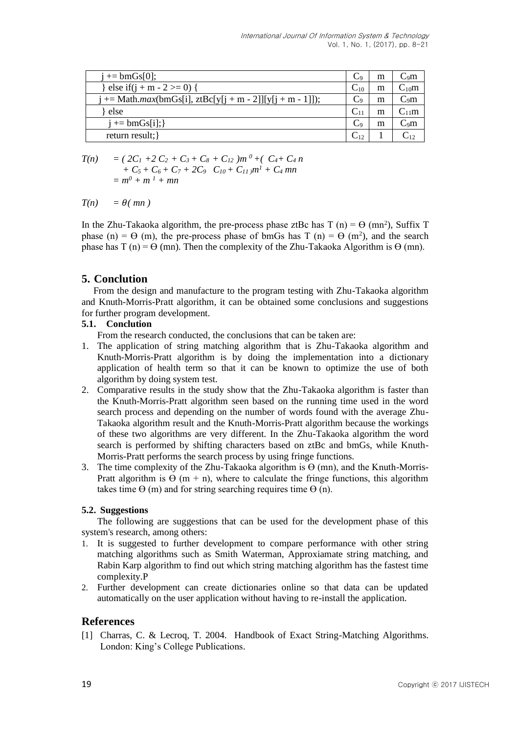| $i == b m Gs[0];$                                           | $\mathcal{L}_{9}$ | m | C9m                      |
|-------------------------------------------------------------|-------------------|---|--------------------------|
| } else if(j + m - 2 > = 0) {                                | $C_{10}$          | m | $C_{10}m$                |
| $j == Math.max(bmGs[i], ztBc[y[i + m - 2]][y[i + m - 1]]);$ | Cq                | m | $C_9m$                   |
| else                                                        |                   | m | $C_{11}m$                |
| $i == b m Gs[i];$                                           | $\mathrm{C}_9$    | m | $\mathrm{C}_9\mathrm{m}$ |
| return result; }                                            | $\mathrm{C}_{12}$ |   |                          |

 $T(n) = (2C_1 + 2C_2 + C_3 + C_8 + C_12) m^0 + (C_4 + C_4 n)^{1/2}$  $+ C_5 + C_6 + C_7 + 2C_9 \quad C_{10} + C_{11} \cdot m^1 + C_4 \cdot mn$  $= m^0 + m^1 + mn$ 

 $T(n) = \theta(mn)$ 

In the Zhu-Takaoka algorithm, the pre-process phase ztBc has  $T(n) = \Theta(mn^2)$ , Suffix T phase (n) =  $\Theta$  (m), the pre-process phase of bmGs has T (n) =  $\Theta$  (m<sup>2</sup>), and the search phase has  $T(n) = \Theta$  (mn). Then the complexity of the Zhu-Takaoka Algorithm is  $\Theta$  (mn).

# **5. Conclution**

From the design and manufacture to the program testing with Zhu-Takaoka algorithm and Knuth-Morris-Pratt algorithm, it can be obtained some conclusions and suggestions for further program development.

# **5.1. Conclution**

From the research conducted, the conclusions that can be taken are:

- 1. The application of string matching algorithm that is Zhu-Takaoka algorithm and Knuth-Morris-Pratt algorithm is by doing the implementation into a dictionary application of health term so that it can be known to optimize the use of both algorithm by doing system test.
- 2. Comparative results in the study show that the Zhu-Takaoka algorithm is faster than the Knuth-Morris-Pratt algorithm seen based on the running time used in the word search process and depending on the number of words found with the average Zhu-Takaoka algorithm result and the Knuth-Morris-Pratt algorithm because the workings of these two algorithms are very different. In the Zhu-Takaoka algorithm the word search is performed by shifting characters based on ztBc and bmGs, while Knuth-Morris-Pratt performs the search process by using fringe functions.
- 3. The time complexity of the Zhu-Takaoka algorithm is  $\Theta$  (mn), and the Knuth-Morris-Pratt algorithm is  $\Theta$  (m + n), where to calculate the fringe functions, this algorithm takes time  $\Theta$  (m) and for string searching requires time  $\Theta$  (n).

# **5.2. Suggestions**

The following are suggestions that can be used for the development phase of this system's research, among others:

- 1. It is suggested to further development to compare performance with other string matching algorithms such as Smith Waterman, Approxiamate string matching, and Rabin Karp algorithm to find out which string matching algorithm has the fastest time complexity.P
- 2. Further development can create dictionaries online so that data can be updated automatically on the user application without having to re-install the application.

# **References**

[1] Charras, C. & Lecroq, T. 2004. Handbook of Exact String-Matching Algorithms. London: King's College Publications.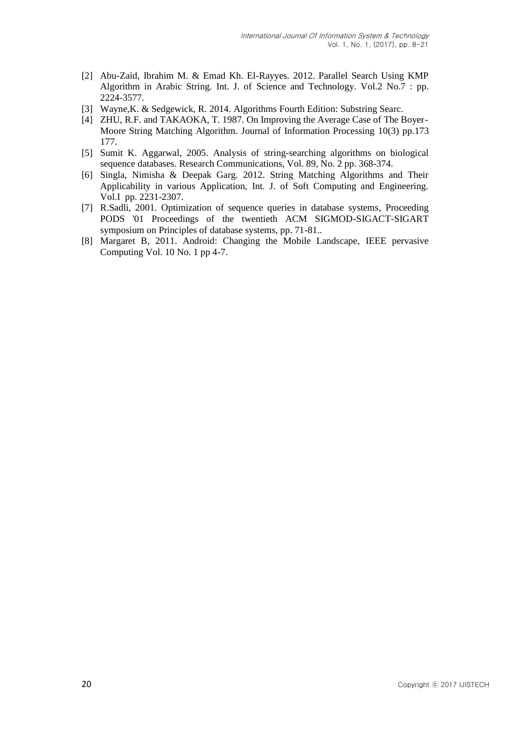- [2] Abu-Zaid, Ibrahim M. & Emad Kh. El-Rayyes. 2012. Parallel Search Using KMP Algorithm in Arabic String. Int. J. of Science and Technology. Vol.2 No.7 : pp. 2224-3577.
- [3] Wayne,K. & Sedgewick, R. 2014. Algorithms Fourth Edition: Substring Searc.
- [4] ZHU, R.F. and TAKAOKA, T. 1987. On Improving the Average Case of The Boyer-Moore String Matching Algorithm. Journal of Information Processing 10(3) pp.173 177.
- [5] Sumit K. Aggarwal, 2005. Analysis of string-searching algorithms on biological sequence databases. Research Communications, Vol. 89, No. 2 pp. 368-374.
- [6] Singla, Nimisha & Deepak Garg. 2012. String Matching Algorithms and Their Applicability in various Application, Int. J. of Soft Computing and Engineering. Vol.I pp. 2231-2307.
- [7] R.Sadli, 2001. Optimization of sequence queries in database systems, Proceeding PODS '01 Proceedings of the twentieth ACM SIGMOD-SIGACT-SIGART symposium on Principles of database systems, pp. 71-81..
- [8] Margaret B, 2011. Android: Changing the Mobile Landscape, IEEE pervasive Computing Vol. 10 No. 1 pp 4-7.